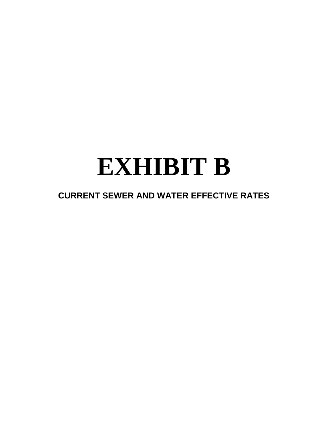# **EXHIBIT B**

## **CURRENT SEWER AND WATER EFFECTIVE RATES**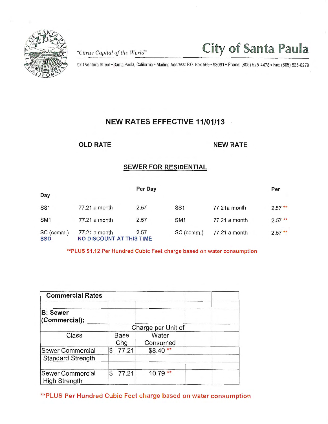

*"Citrus Capital of the World"* City of Santa Paula

970 Ventura Street • Santa Paula, California• Mailing Address: P.O. Box 569 • 93061 • Phone: (805) 525-4478 • Fax: (805) 525-6278

## NEW RATES EFFECTIVE 11/01/13

OLD RATE NEW RATE

## SEWER FOR RESIDENTIAL

|                          |                                           | Per Day |                 |               | Per      |  |
|--------------------------|-------------------------------------------|---------|-----------------|---------------|----------|--|
| Day                      |                                           |         |                 |               |          |  |
| SS <sub>1</sub>          | 77.21 a month                             | 2.57    | SS <sub>1</sub> | 77.21a month  | $2.57**$ |  |
| SM <sub>1</sub>          | 77.21 a month                             | 2.57    | SM <sub>1</sub> | 77.21 a month | $2.57**$ |  |
| SC (comm.)<br><b>SSD</b> | 77.21 a month<br>NO DISCOUNT AT THIS TIME | 2.57    | SC (comm.)      | 77.21 a month | $2.57**$ |  |

\*\*PLUS \$1.12 Per Hundred Cubic Feet charge based on water consumption

| <b>Commercial Rates</b>                             |                    |                   |  |  |  |  |
|-----------------------------------------------------|--------------------|-------------------|--|--|--|--|
| <b>B: Sewer</b><br>(Commercial):                    |                    |                   |  |  |  |  |
|                                                     | Charge per Unit of |                   |  |  |  |  |
| Class<br><b>Base</b><br>Chg                         |                    | Water<br>Consumed |  |  |  |  |
| <b>Sewer Commercial</b><br><b>Standard Strength</b> | 77.21<br>\$        | $$8.40**$         |  |  |  |  |
| <b>Sewer Commercial</b><br><b>High Strength</b>     | 77.21<br>\$.       | $***$<br>10.79    |  |  |  |  |

\*\*PLUS Per Hundred Cubic Feet charge based on water consumption